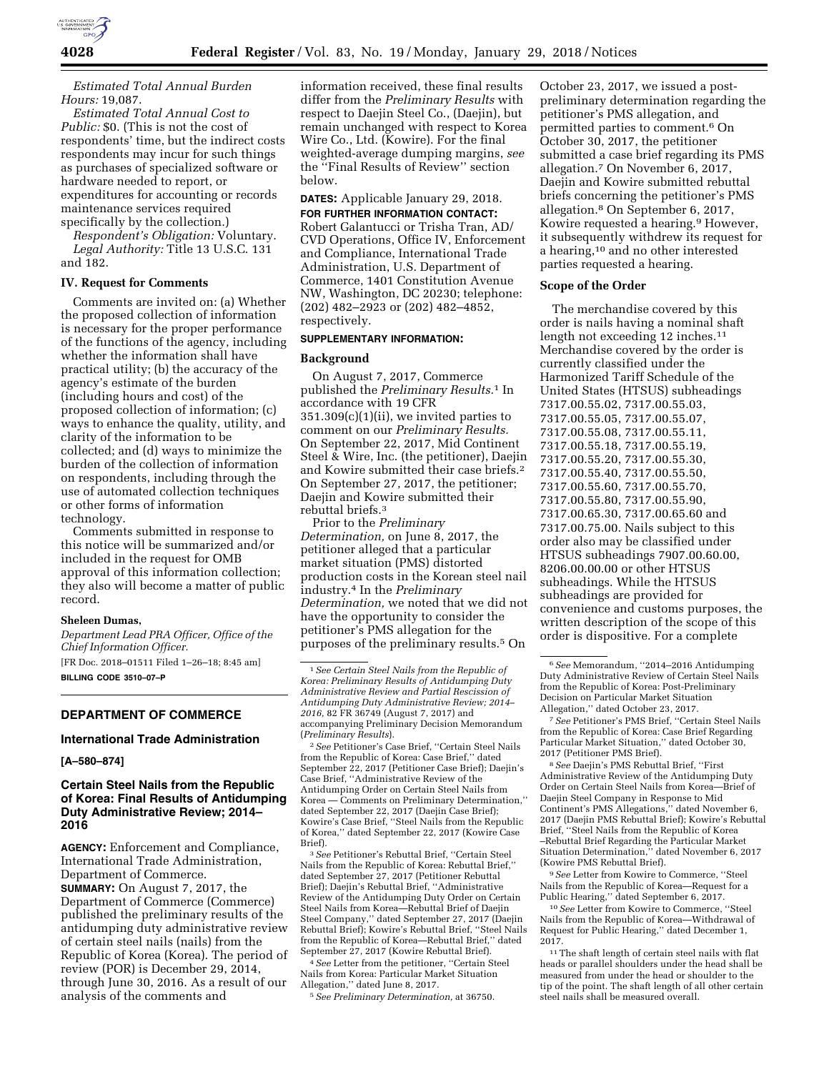

*Estimated Total Annual Burden Hours:* 19,087.

*Estimated Total Annual Cost to Public:* \$0. (This is not the cost of respondents' time, but the indirect costs respondents may incur for such things as purchases of specialized software or hardware needed to report, or expenditures for accounting or records maintenance services required specifically by the collection.)

*Respondent's Obligation:* Voluntary. *Legal Authority:* Title 13 U.S.C. 131 and 182.

#### **IV. Request for Comments**

Comments are invited on: (a) Whether the proposed collection of information is necessary for the proper performance of the functions of the agency, including whether the information shall have practical utility; (b) the accuracy of the agency's estimate of the burden (including hours and cost) of the proposed collection of information; (c) ways to enhance the quality, utility, and clarity of the information to be collected; and (d) ways to minimize the burden of the collection of information on respondents, including through the use of automated collection techniques or other forms of information technology.

Comments submitted in response to this notice will be summarized and/or included in the request for OMB approval of this information collection; they also will become a matter of public record.

#### **Sheleen Dumas,**

*Department Lead PRA Officer, Office of the Chief Information Officer.* 

[FR Doc. 2018–01511 Filed 1–26–18; 8:45 am] **BILLING CODE 3510–07–P** 

# **DEPARTMENT OF COMMERCE**

# **International Trade Administration**

# **[A–580–874]**

# **Certain Steel Nails from the Republic of Korea: Final Results of Antidumping Duty Administrative Review; 2014– 2016**

**AGENCY:** Enforcement and Compliance, International Trade Administration, Department of Commerce. **SUMMARY:** On August 7, 2017, the Department of Commerce (Commerce) published the preliminary results of the antidumping duty administrative review of certain steel nails (nails) from the Republic of Korea (Korea). The period of review (POR) is December 29, 2014, through June 30, 2016. As a result of our analysis of the comments and

information received, these final results differ from the *Preliminary Results* with respect to Daejin Steel Co., (Daejin), but remain unchanged with respect to Korea Wire Co., Ltd. (Kowire). For the final weighted-average dumping margins, *see*  the ''Final Results of Review'' section below.

**DATES:** Applicable January 29, 2018. **FOR FURTHER INFORMATION CONTACT:**  Robert Galantucci or Trisha Tran, AD/ CVD Operations, Office IV, Enforcement and Compliance, International Trade Administration, U.S. Department of Commerce, 1401 Constitution Avenue NW, Washington, DC 20230; telephone: (202) 482–2923 or (202) 482–4852, respectively.

# **SUPPLEMENTARY INFORMATION:**

#### **Background**

On August 7, 2017, Commerce published the *Preliminary Results.*1 In accordance with 19 CFR 351.309(c)(1)(ii), we invited parties to comment on our *Preliminary Results.*  On September 22, 2017, Mid Continent Steel & Wire, Inc. (the petitioner), Daejin and Kowire submitted their case briefs.2 On September 27, 2017, the petitioner; Daejin and Kowire submitted their rebuttal briefs.3

Prior to the *Preliminary Determination,* on June 8, 2017, the petitioner alleged that a particular market situation (PMS) distorted production costs in the Korean steel nail industry.4 In the *Preliminary Determination,* we noted that we did not have the opportunity to consider the petitioner's PMS allegation for the purposes of the preliminary results.5 On

2*See* Petitioner's Case Brief, ''Certain Steel Nails from the Republic of Korea: Case Brief,'' dated September 22, 2017 (Petitioner Case Brief); Daejin's Case Brief, ''Administrative Review of the Antidumping Order on Certain Steel Nails from Korea — Comments on Preliminary Determination,'' dated September 22, 2017 (Daejin Case Brief); Kowire's Case Brief, ''Steel Nails from the Republic of Korea,'' dated September 22, 2017 (Kowire Case Brief).

3*See* Petitioner's Rebuttal Brief, ''Certain Steel Nails from the Republic of Korea: Rebuttal Brief,'' dated September 27, 2017 (Petitioner Rebuttal Brief); Daejin's Rebuttal Brief, ''Administrative Review of the Antidumping Duty Order on Certain Steel Nails from Korea—Rebuttal Brief of Daejin Steel Company,'' dated September 27, 2017 (Daejin Rebuttal Brief); Kowire's Rebuttal Brief, ''Steel Nails from the Republic of Korea—Rebuttal Brief,'' dated September 27, 2017 (Kowire Rebuttal Brief).

4*See* Letter from the petitioner, ''Certain Steel Nails from Korea: Particular Market Situation Allegation,'' dated June 8, 2017.

5*See Preliminary Determination,* at 36750.

October 23, 2017, we issued a postpreliminary determination regarding the petitioner's PMS allegation, and permitted parties to comment.6 On October 30, 2017, the petitioner submitted a case brief regarding its PMS allegation.7 On November 6, 2017, Daejin and Kowire submitted rebuttal briefs concerning the petitioner's PMS allegation.8 On September 6, 2017, Kowire requested a hearing.9 However, it subsequently withdrew its request for a hearing,10 and no other interested parties requested a hearing.

# **Scope of the Order**

The merchandise covered by this order is nails having a nominal shaft length not exceeding 12 inches.<sup>11</sup> Merchandise covered by the order is currently classified under the Harmonized Tariff Schedule of the United States (HTSUS) subheadings 7317.00.55.02, 7317.00.55.03, 7317.00.55.05, 7317.00.55.07, 7317.00.55.08, 7317.00.55.11, 7317.00.55.18, 7317.00.55.19, 7317.00.55.20, 7317.00.55.30, 7317.00.55.40, 7317.00.55.50, 7317.00.55.60, 7317.00.55.70, 7317.00.55.80, 7317.00.55.90, 7317.00.65.30, 7317.00.65.60 and 7317.00.75.00. Nails subject to this order also may be classified under HTSUS subheadings 7907.00.60.00, 8206.00.00.00 or other HTSUS subheadings. While the HTSUS subheadings are provided for convenience and customs purposes, the written description of the scope of this order is dispositive. For a complete

7*See* Petitioner's PMS Brief, ''Certain Steel Nails from the Republic of Korea: Case Brief Regarding Particular Market Situation,'' dated October 30, 2017 (Petitioner PMS Brief).

8*See* Daejin's PMS Rebuttal Brief, ''First Administrative Review of the Antidumping Duty Order on Certain Steel Nails from Korea—Brief of Daejin Steel Company in Response to Mid Continent's PMS Allegations,'' dated November 6, 2017 (Daejin PMS Rebuttal Brief); Kowire's Rebuttal Brief, ''Steel Nails from the Republic of Korea –Rebuttal Brief Regarding the Particular Market Situation Determination,'' dated November 6, 2017 (Kowire PMS Rebuttal Brief).

9*See* Letter from Kowire to Commerce, ''Steel Nails from the Republic of Korea—Request for a Public Hearing,'' dated September 6, 2017.

10*See* Letter from Kowire to Commerce, ''Steel Nails from the Republic of Korea—Withdrawal of Request for Public Hearing,'' dated December 1, 2017.

 $^{\rm 11}$  The shaft length of certain steel nails with flat heads or parallel shoulders under the head shall be measured from under the head or shoulder to the tip of the point. The shaft length of all other certain steel nails shall be measured overall.

<sup>1</sup>*See Certain Steel Nails from the Republic of Korea: Preliminary Results of Antidumping Duty Administrative Review and Partial Rescission of Antidumping Duty Administrative Review; 2014– 2016,* 82 FR 36749 (August 7, 2017) and accompanying Preliminary Decision Memorandum (*Preliminary Results*).

<sup>6</sup>*See* Memorandum, ''2014–2016 Antidumping Duty Administrative Review of Certain Steel Nails from the Republic of Korea: Post-Preliminary Decision on Particular Market Situation Allegation,'' dated October 23, 2017.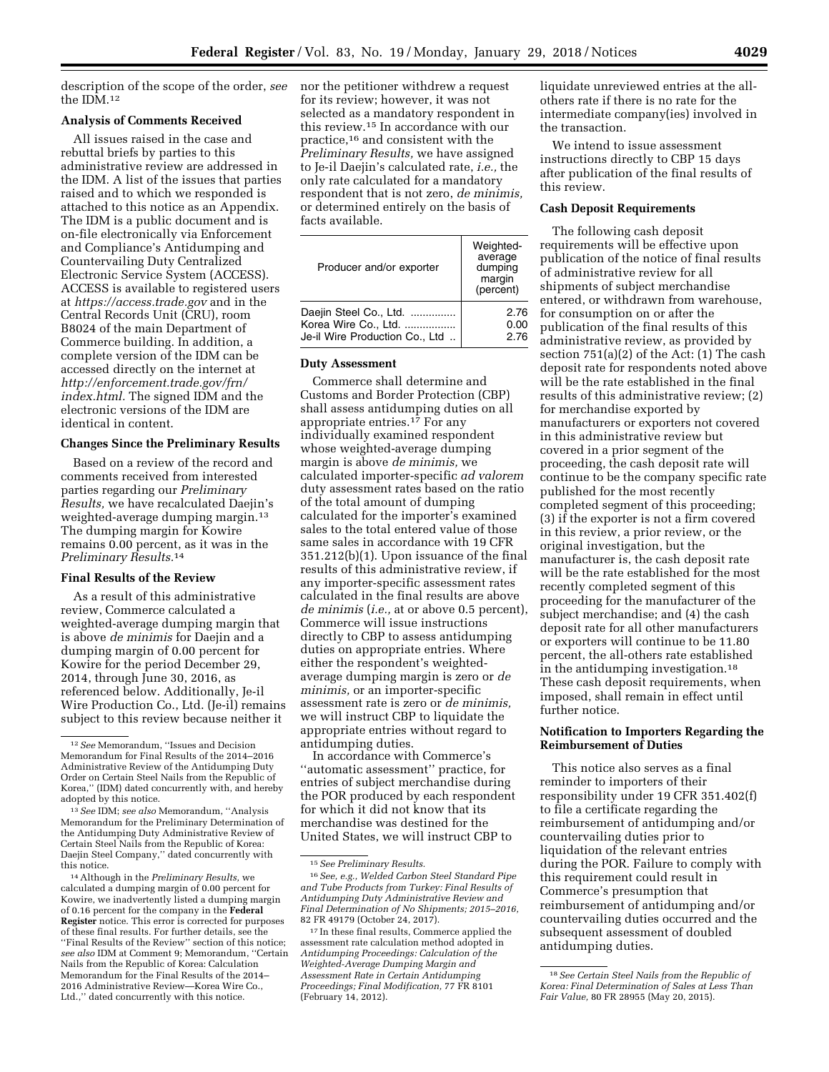description of the scope of the order, *see*  the IDM.12

# **Analysis of Comments Received**

All issues raised in the case and rebuttal briefs by parties to this administrative review are addressed in the IDM. A list of the issues that parties raised and to which we responded is attached to this notice as an Appendix. The IDM is a public document and is on-file electronically via Enforcement and Compliance's Antidumping and Countervailing Duty Centralized Electronic Service System (ACCESS). ACCESS is available to registered users at *<https://access.trade.gov>*and in the Central Records Unit (CRU), room B8024 of the main Department of Commerce building. In addition, a complete version of the IDM can be accessed directly on the internet at *[http://enforcement.trade.gov/frn/](http://enforcement.trade.gov/frn/index.html)  [index.html.](http://enforcement.trade.gov/frn/index.html)* The signed IDM and the electronic versions of the IDM are identical in content.

# **Changes Since the Preliminary Results**

Based on a review of the record and comments received from interested parties regarding our *Preliminary Results,* we have recalculated Daejin's weighted-average dumping margin.<sup>13</sup> The dumping margin for Kowire remains 0.00 percent, as it was in the *Preliminary Results.*14

# **Final Results of the Review**

As a result of this administrative review, Commerce calculated a weighted-average dumping margin that is above *de minimis* for Daejin and a dumping margin of 0.00 percent for Kowire for the period December 29, 2014, through June 30, 2016, as referenced below. Additionally, Je-il Wire Production Co., Ltd. (Je-il) remains subject to this review because neither it

nor the petitioner withdrew a request for its review; however, it was not selected as a mandatory respondent in this review.15 In accordance with our practice,16 and consistent with the *Preliminary Results,* we have assigned to Je-il Daejin's calculated rate, *i.e.,* the only rate calculated for a mandatory respondent that is not zero, *de minimis,*  or determined entirely on the basis of facts available.

| Producer and/or exporter       | Weighted-<br>average<br>dumping<br>margin<br>(percent) |
|--------------------------------|--------------------------------------------------------|
| Daejin Steel Co., Ltd.         | 2.76                                                   |
| Korea Wire Co., Ltd.           | 0.00                                                   |
| Je-il Wire Production Co., Ltd | 2.76                                                   |

# **Duty Assessment**

Commerce shall determine and Customs and Border Protection (CBP) shall assess antidumping duties on all appropriate entries.17 For any individually examined respondent whose weighted-average dumping margin is above *de minimis,* we calculated importer-specific *ad valorem*  duty assessment rates based on the ratio of the total amount of dumping calculated for the importer's examined sales to the total entered value of those same sales in accordance with 19 CFR 351.212(b)(1). Upon issuance of the final results of this administrative review, if any importer-specific assessment rates calculated in the final results are above *de minimis* (*i.e.,* at or above 0.5 percent), Commerce will issue instructions directly to CBP to assess antidumping duties on appropriate entries. Where either the respondent's weightedaverage dumping margin is zero or *de minimis,* or an importer-specific assessment rate is zero or *de minimis,*  we will instruct CBP to liquidate the appropriate entries without regard to antidumping duties.

In accordance with Commerce's ''automatic assessment'' practice, for entries of subject merchandise during the POR produced by each respondent for which it did not know that its merchandise was destined for the United States, we will instruct CBP to

liquidate unreviewed entries at the allothers rate if there is no rate for the intermediate company(ies) involved in the transaction.

We intend to issue assessment instructions directly to CBP 15 days after publication of the final results of this review.

# **Cash Deposit Requirements**

The following cash deposit requirements will be effective upon publication of the notice of final results of administrative review for all shipments of subject merchandise entered, or withdrawn from warehouse, for consumption on or after the publication of the final results of this administrative review, as provided by section 751(a)(2) of the Act: (1) The cash deposit rate for respondents noted above will be the rate established in the final results of this administrative review; (2) for merchandise exported by manufacturers or exporters not covered in this administrative review but covered in a prior segment of the proceeding, the cash deposit rate will continue to be the company specific rate published for the most recently completed segment of this proceeding; (3) if the exporter is not a firm covered in this review, a prior review, or the original investigation, but the manufacturer is, the cash deposit rate will be the rate established for the most recently completed segment of this proceeding for the manufacturer of the subject merchandise; and (4) the cash deposit rate for all other manufacturers or exporters will continue to be 11.80 percent, the all-others rate established in the antidumping investigation.18 These cash deposit requirements, when imposed, shall remain in effect until further notice.

# **Notification to Importers Regarding the Reimbursement of Duties**

This notice also serves as a final reminder to importers of their responsibility under 19 CFR 351.402(f) to file a certificate regarding the reimbursement of antidumping and/or countervailing duties prior to liquidation of the relevant entries during the POR. Failure to comply with this requirement could result in Commerce's presumption that reimbursement of antidumping and/or countervailing duties occurred and the subsequent assessment of doubled antidumping duties.

<sup>12</sup>*See* Memorandum, ''Issues and Decision Memorandum for Final Results of the 2014–2016 Administrative Review of the Antidumping Duty Order on Certain Steel Nails from the Republic of Korea,'' (IDM) dated concurrently with, and hereby adopted by this notice.

<sup>13</sup>*See* IDM; *see also* Memorandum, ''Analysis Memorandum for the Preliminary Determination of the Antidumping Duty Administrative Review of Certain Steel Nails from the Republic of Korea: Daejin Steel Company,'' dated concurrently with this notice.

<sup>14</sup>Although in the *Preliminary Results,* we calculated a dumping margin of 0.00 percent for Kowire, we inadvertently listed a dumping margin of 0.16 percent for the company in the **Federal Register** notice. This error is corrected for purposes of these final results. For further details, see the ''Final Results of the Review'' section of this notice; *see also* IDM at Comment 9; Memorandum, ''Certain Nails from the Republic of Korea: Calculation Memorandum for the Final Results of the 2014– 2016 Administrative Review—Korea Wire Co., Ltd.,'' dated concurrently with this notice.

<sup>15</sup>*See Preliminary Results.* 

<sup>16</sup>*See, e.g., Welded Carbon Steel Standard Pipe and Tube Products from Turkey: Final Results of Antidumping Duty Administrative Review and Final Determination of No Shipments; 2015–2016,*  82 FR 49179 (October 24, 2017).

<sup>17</sup> In these final results, Commerce applied the assessment rate calculation method adopted in *Antidumping Proceedings: Calculation of the Weighted-Average Dumping Margin and Assessment Rate in Certain Antidumping Proceedings; Final Modification,* 77 FR 8101 (February 14, 2012).

<sup>18</sup>*See Certain Steel Nails from the Republic of Korea: Final Determination of Sales at Less Than Fair Value,* 80 FR 28955 (May 20, 2015).